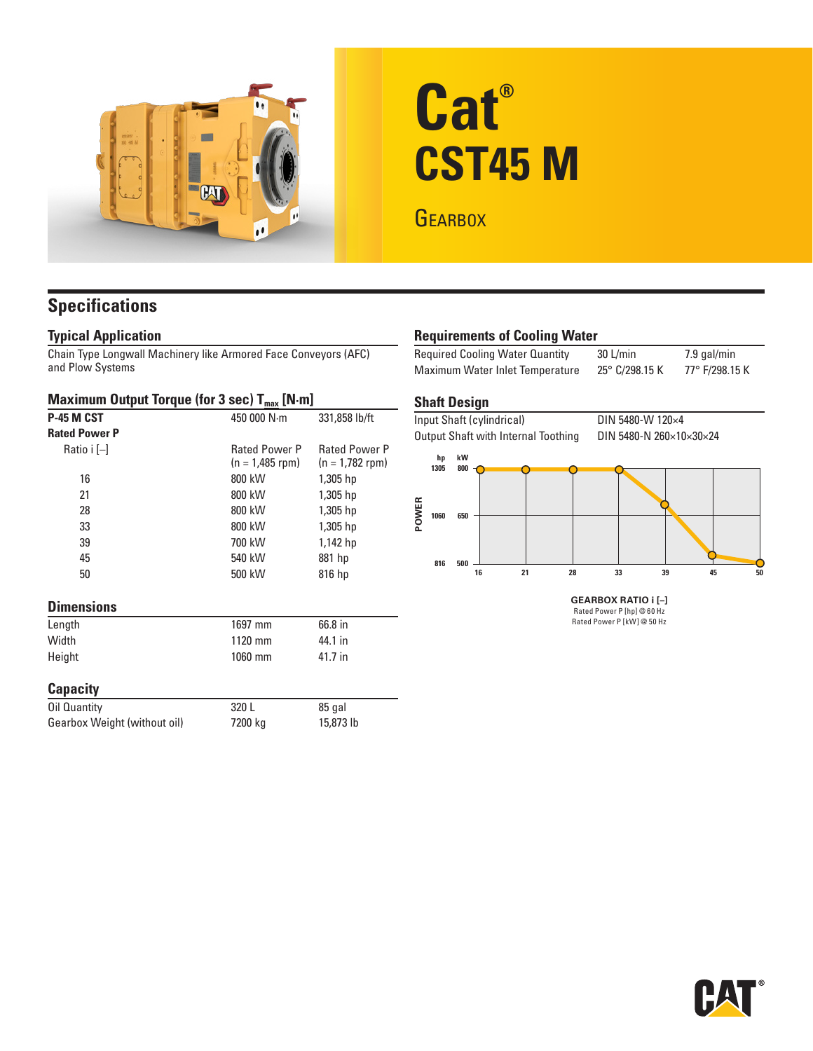

# **Cat® CST45 M**

**GEARBOX** 

# **Specifications**

### **Typical Application**

Chain Type Longwall Machinery like Armored Face Conveyors (AFC) and Plow Systems

#### **Maximum Output Torque (for 3 sec) T<sub>max</sub> [N·m]**

| P-45 M CST                   | 450 000 N·m          | 331,858 lb/ft        |
|------------------------------|----------------------|----------------------|
| <b>Rated Power P</b>         |                      |                      |
| Ratio i [-]                  | <b>Rated Power P</b> | <b>Rated Power P</b> |
|                              | $(n = 1,485$ rpm)    | $(n = 1,782$ rpm)    |
| 16                           | 800 kW               | 1,305 hp             |
| 21                           | 800 kW               | 1,305 hp             |
| 28                           | 800 kW               | 1,305 hp             |
| 33                           | 800 kW               | 1,305 hp             |
| 39                           | 700 kW               | 1,142 hp             |
| 45                           | 540 kW               | 881 hp               |
| 50                           | 500 kW               | 816 hp               |
| <b>Dimensions</b>            |                      |                      |
| Length                       | 1697 mm              | 66.8 in              |
| Width                        | 1120 mm              | 44.1 in              |
| Height                       | 1060 mm              | 41.7 in              |
| <b>Capacity</b>              |                      |                      |
| Oil Quantity                 | 320 L                | 85 gal               |
| Gearbox Weight (without oil) | 7200 kg              | 15,873 lb            |
|                              |                      |                      |

## **Requirements of Cooling Water**

Required Cooling Water Quantity 30 L/min 7.9 gal/min Maximum Water Inlet Temperature 25° C/298.15 K 77° F/298.15 K

#### **Shaft Design**



Rated Power P [hp] @ 60 Hz Rated Power P [kW] @ 50 Hz